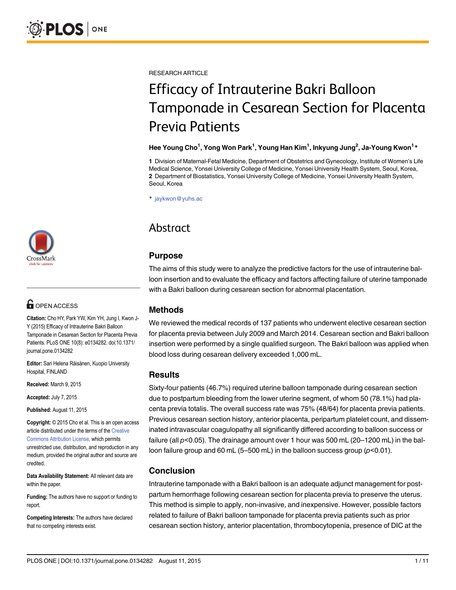

# **G** OPEN ACCESS

Citation: Cho HY, Park YW, Kim YH, Jung I, Kwon J-Y (2015) Efficacy of Intrauterine Bakri Balloon Tamponade in Cesarean Section for Placenta Previa Patients. PLoS ONE 10(8): e0134282. doi:10.1371/ journal.pone.0134282

Editor: Sari Helena Räisänen, Kuopio University Hospital, FINLAND

Received: March 9, 2015

Accepted: July 7, 2015

Published: August 11, 2015

Copyright: © 2015 Cho et al. This is an open access article distributed under the terms of the [Creative](http://creativecommons.org/licenses/by/4.0/) [Commons Attribution License](http://creativecommons.org/licenses/by/4.0/), which permits unrestricted use, distribution, and reproduction in any medium, provided the original author and source are credited.

Data Availability Statement: All relevant data are within the paper.

Funding: The authors have no support or funding to report.

Competing Interests: The authors have declared that no competing interests exist.

RESEARCH ARTICLE

# Efficacy of Intrauterine Bakri Balloon Tamponade in Cesarean Section for Placenta Previa Patients

#### Hee Young Cho<sup>1</sup>, Yong Won Park<sup>1</sup>, Young Han Kim<sup>1</sup>, Inkyung Jung<sup>2</sup>, Ja-Young Kwon<sup>1</sup>\*

1 Division of Maternal-Fetal Medicine, Department of Obstetrics and Gynecology, Institute of Women's Life Medical Science, Yonsei University College of Medicine, Yonsei University Health System, Seoul, Korea, 2 Department of Biostatistics, Yonsei University College of Medicine, Yonsei University Health System, Seoul, Korea

\* jaykwon@yuhs.ac

# Abstract

# Purpose

The aims of this study were to analyze the predictive factors for the use of intrauterine balloon insertion and to evaluate the efficacy and factors affecting failure of uterine tamponade with a Bakri balloon during cesarean section for abnormal placentation.

# Methods

We reviewed the medical records of 137 patients who underwent elective cesarean section for placenta previa between July 2009 and March 2014. Cesarean section and Bakri balloon insertion were performed by a single qualified surgeon. The Bakri balloon was applied when blood loss during cesarean delivery exceeded 1,000 mL.

# Results

Sixty-four patients (46.7%) required uterine balloon tamponade during cesarean section due to postpartum bleeding from the lower uterine segment, of whom 50 (78.1%) had placenta previa totalis. The overall success rate was 75% (48/64) for placenta previa patients. Previous cesarean section history, anterior placenta, peripartum platelet count, and disseminated intravascular coagulopathy all significantly differed according to balloon success or failure (all  $p<0.05$ ). The drainage amount over 1 hour was 500 mL (20–1200 mL) in the balloon failure group and 60 mL (5–500 mL) in the balloon success group (p<0.01).

# Conclusion

Intrauterine tamponade with a Bakri balloon is an adequate adjunct management for postpartum hemorrhage following cesarean section for placenta previa to preserve the uterus. This method is simple to apply, non-invasive, and inexpensive. However, possible factors related to failure of Bakri balloon tamponade for placenta previa patients such as prior cesarean section history, anterior placentation, thrombocytopenia, presence of DIC at the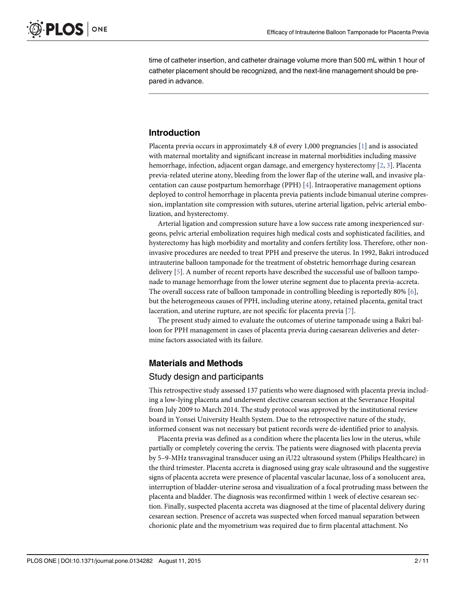<span id="page-1-0"></span>time of catheter insertion, and catheter drainage volume more than 500 mL within 1 hour of catheter placement should be recognized, and the next-line management should be prepared in advance.

# Introduction

Placenta previa occurs in approximately 4.8 of every 1,000 pregnancies  $[1]$  $[1]$  and is associated with maternal mortality and significant increase in maternal morbidities including massive hemorrhage, infection, adjacent organ damage, and emergency hysterectomy [\[2,](#page-9-0) [3](#page-9-0)]. Placenta previa-related uterine atony, bleeding from the lower flap of the uterine wall, and invasive placentation can cause postpartum hemorrhage (PPH) [\[4\]](#page-9-0). Intraoperative management options deployed to control hemorrhage in placenta previa patients include bimanual uterine compression, implantation site compression with sutures, uterine arterial ligation, pelvic arterial embolization, and hysterectomy.

Arterial ligation and compression suture have a low success rate among inexperienced surgeons, pelvic arterial embolization requires high medical costs and sophisticated facilities, and hysterectomy has high morbidity and mortality and confers fertility loss. Therefore, other noninvasive procedures are needed to treat PPH and preserve the uterus. In 1992, Bakri introduced intrauterine balloon tamponade for the treatment of obstetric hemorrhage during cesarean delivery [\[5\]](#page-9-0). A number of recent reports have described the successful use of balloon tamponade to manage hemorrhage from the lower uterine segment due to placenta previa-accreta. The overall success rate of balloon tamponade in controlling bleeding is reportedly 80%  $[6]$ , but the heterogeneous causes of PPH, including uterine atony, retained placenta, genital tract laceration, and uterine rupture, are not specific for placenta previa [\[7\]](#page-9-0).

The present study aimed to evaluate the outcomes of uterine tamponade using a Bakri balloon for PPH management in cases of placenta previa during caesarean deliveries and determine factors associated with its failure.

#### Materials and Methods

#### Study design and participants

This retrospective study assessed 137 patients who were diagnosed with placenta previa including a low-lying placenta and underwent elective cesarean section at the Severance Hospital from July 2009 to March 2014. The study protocol was approved by the institutional review board in Yonsei University Health System. Due to the retrospective nature of the study, informed consent was not necessary but patient records were de-identified prior to analysis.

Placenta previa was defined as a condition where the placenta lies low in the uterus, while partially or completely covering the cervix. The patients were diagnosed with placenta previa by 5–9-MHz transvaginal transducer using an iU22 ultrasound system (Philips Healthcare) in the third trimester. Placenta accreta is diagnosed using gray scale ultrasound and the suggestive signs of placenta accreta were presence of placental vascular lacunae, loss of a sonolucent area, interruption of bladder-uterine serosa and visualization of a focal protruding mass between the placenta and bladder. The diagnosis was reconfirmed within 1 week of elective cesarean section. Finally, suspected placenta accreta was diagnosed at the time of placental delivery during cesarean section. Presence of accreta was suspected when forced manual separation between chorionic plate and the myometrium was required due to firm placental attachment. No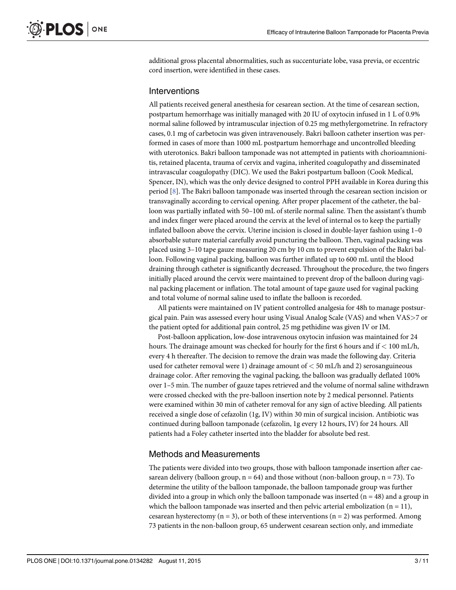<span id="page-2-0"></span>additional gross placental abnormalities, such as succenturiate lobe, vasa previa, or eccentric cord insertion, were identified in these cases.

#### Interventions

All patients received general anesthesia for cesarean section. At the time of cesarean section, postpartum hemorrhage was initially managed with 20 IU of oxytocin infused in 1 L of 0.9% normal saline followed by intramuscular injection of 0.25 mg methylergometrine. In refractory cases, 0.1 mg of carbetocin was given intravenousely. Bakri balloon catheter insertion was performed in cases of more than 1000 mL postpartum hemorrhage and uncontrolled bleeding with uterotonics. Bakri balloon tamponade was not attempted in patients with chorioamnionitis, retained placenta, trauma of cervix and vagina, inherited coagulopathy and disseminated intravascular coagulopathy (DIC). We used the Bakri postpartum balloon (Cook Medical, Spencer, IN), which was the only device designed to control PPH available in Korea during this period [\[8](#page-9-0)]. The Bakri balloon tamponade was inserted through the cesarean section incision or transvaginally according to cervical opening. After proper placement of the catheter, the balloon was partially inflated with 50–100 mL of sterile normal saline. Then the assistant's thumb and index finger were placed around the cervix at the level of internal os to keep the partially inflated balloon above the cervix. Uterine incision is closed in double-layer fashion using 1–0 absorbable suture material carefully avoid puncturing the balloon. Then, vaginal packing was placed using 3–10 tape gauze measuring 20 cm by 10 cm to prevent expulsion of the Bakri balloon. Following vaginal packing, balloon was further inflated up to 600 mL until the blood draining through catheter is significantly decreased. Throughout the procedure, the two fingers initially placed around the cervix were maintained to prevent drop of the balloon during vaginal packing placement or inflation. The total amount of tape gauze used for vaginal packing and total volume of normal saline used to inflate the balloon is recorded.

All patients were maintained on IV patient controlled analgesia for 48h to manage postsurgical pain. Pain was assessed every hour using Visual Analog Scale (VAS) and when VAS>7 or the patient opted for additional pain control, 25 mg pethidine was given IV or IM.

Post-balloon application, low-dose intravenous oxytocin infusion was maintained for 24 hours. The drainage amount was checked for hourly for the first 6 hours and if < 100 mL/h, every 4 h thereafter. The decision to remove the drain was made the following day. Criteria used for catheter removal were 1) drainage amount of  $<$  50 mL/h and 2) serosanguineous drainage color. After removing the vaginal packing, the balloon was gradually deflated 100% over 1–5 min. The number of gauze tapes retrieved and the volume of normal saline withdrawn were crossed checked with the pre-balloon insertion note by 2 medical personnel. Patients were examined within 30 min of catheter removal for any sign of active bleeding. All patients received a single dose of cefazolin (1g, IV) within 30 min of surgical incision. Antibiotic was continued during balloon tamponade (cefazolin, 1g every 12 hours, IV) for 24 hours. All patients had a Foley catheter inserted into the bladder for absolute bed rest.

#### Methods and Measurements

The patients were divided into two groups, those with balloon tamponade insertion after caesarean delivery (balloon group,  $n = 64$ ) and those without (non-balloon group,  $n = 73$ ). To determine the utility of the balloon tamponade, the balloon tamponade group was further divided into a group in which only the balloon tamponade was inserted  $(n = 48)$  and a group in which the balloon tamponade was inserted and then pelvic arterial embolization  $(n = 11)$ , cesarean hysterectomy  $(n = 3)$ , or both of these interventions  $(n = 2)$  was performed. Among 73 patients in the non-balloon group, 65 underwent cesarean section only, and immediate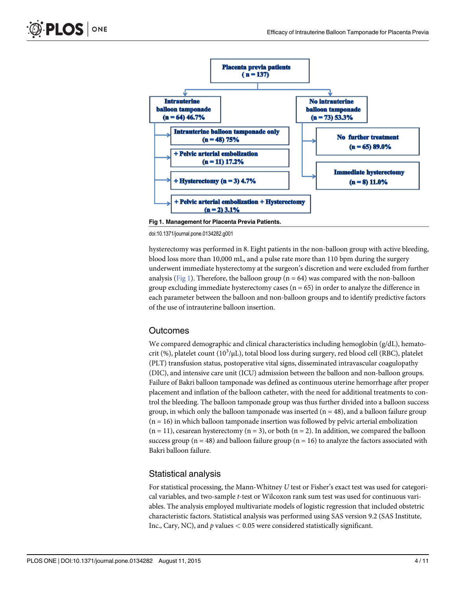

Fig 1. Management for Placenta Previa Patients.

doi:10.1371/journal.pone.0134282.g001

hysterectomy was performed in 8. Eight patients in the non-balloon group with active bleeding, blood loss more than 10,000 mL, and a pulse rate more than 110 bpm during the surgery underwent immediate hysterectomy at the surgeon's discretion and were excluded from further analysis (Fig 1). Therefore, the balloon group ( $n = 64$ ) was compared with the non-balloon group excluding immediate hysterectomy cases ( $n = 65$ ) in order to analyze the difference in each parameter between the balloon and non-balloon groups and to identify predictive factors of the use of intrauterine balloon insertion.

#### Outcomes

We compared demographic and clinical characteristics including hemoglobin (g/dL), hematocrit (%), platelet count (10<sup>3</sup>/µL), total blood loss during surgery, red blood cell (RBC), platelet (PLT) transfusion status, postoperative vital signs, disseminated intravascular coagulopathy (DIC), and intensive care unit (ICU) admission between the balloon and non-balloon groups. Failure of Bakri balloon tamponade was defined as continuous uterine hemorrhage after proper placement and inflation of the balloon catheter, with the need for additional treatments to control the bleeding. The balloon tamponade group was thus further divided into a balloon success group, in which only the balloon tamponade was inserted  $(n = 48)$ , and a balloon failure group  $(n = 16)$  in which balloon tamponade insertion was followed by pelvic arterial embolization  $(n = 11)$ , cesarean hysterectomy  $(n = 3)$ , or both  $(n = 2)$ . In addition, we compared the balloon success group ( $n = 48$ ) and balloon failure group ( $n = 16$ ) to analyze the factors associated with Bakri balloon failure.

# Statistical analysis

For statistical processing, the Mann-Whitney U test or Fisher's exact test was used for categorical variables, and two-sample t-test or Wilcoxon rank sum test was used for continuous variables. The analysis employed multivariate models of logistic regression that included obstetric characteristic factors. Statistical analysis was performed using SAS version 9.2 (SAS Institute, Inc., Cary, NC), and  $p$  values  $< 0.05$  were considered statistically significant.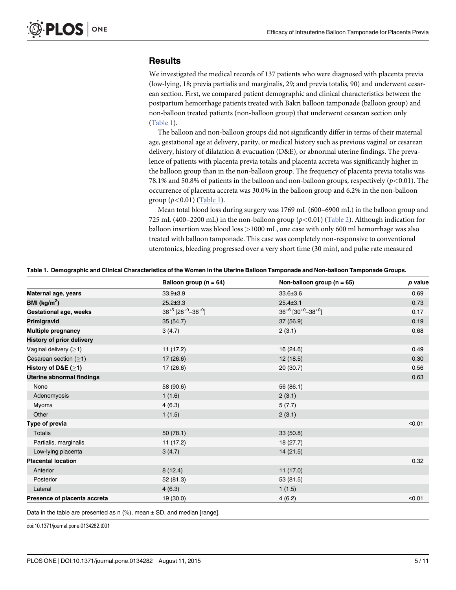# <span id="page-4-0"></span>**Results**

We investigated the medical records of 137 patients who were diagnosed with placenta previa (low-lying, 18; previa partialis and marginalis, 29; and previa totalis, 90) and underwent cesarean section. First, we compared patient demographic and clinical characteristics between the postpartum hemorrhage patients treated with Bakri balloon tamponade (balloon group) and non-balloon treated patients (non-balloon group) that underwent cesarean section only (Table 1).

The balloon and non-balloon groups did not significantly differ in terms of their maternal age, gestational age at delivery, parity, or medical history such as previous vaginal or cesarean delivery, history of dilatation & evacuation (D&E), or abnormal uterine findings. The prevalence of patients with placenta previa totalis and placenta accreta was significantly higher in the balloon group than in the non-balloon group. The frequency of placenta previa totalis was 78.1% and 50.8% of patients in the balloon and non-balloon groups, respectively  $(p<0.01)$ . The occurrence of placenta accreta was 30.0% in the balloon group and 6.2% in the non-balloon group  $(p<0.01)$  (Table 1).

Mean total blood loss during surgery was 1769 mL (600–6900 mL) in the balloon group and 725 mL (400–2200 mL) in the non-balloon group ( $p < 0.01$ ) [\(Table 2\)](#page-5-0). Although indication for balloon insertion was blood loss >1000 mL, one case with only 600 ml hemorrhage was also treated with balloon tamponade. This case was completely non-responsive to conventional uterotonics, bleeding progressed over a very short time (30 min), and pulse rate measured

|  |  | Table 1. Demographic and Clinical Characteristics of the Women in the Uterine Balloon Tamponade and Non-balloon Tamponade Groups. |  |
|--|--|-----------------------------------------------------------------------------------------------------------------------------------|--|
|  |  |                                                                                                                                   |  |

|                                  | Balloon group ( $n = 64$ )                      | Non-balloon group ( $n = 65$ )                  | p value |
|----------------------------------|-------------------------------------------------|-------------------------------------------------|---------|
| Maternal age, years              | $33.9 \pm 3.9$                                  | 33.6±3.6                                        | 0.69    |
| BMI ( $\text{kg/m}^2$ )          | $25.2 \pm 3.3$                                  | $25.4 \pm 3.1$                                  | 0.73    |
| Gestational age, weeks           | $36^{+5}$ [28 <sup>+0</sup> -38 <sup>+0</sup> ] | $36^{+6}$ [30 <sup>+0</sup> -38 <sup>+0</sup> ] | 0.17    |
| Primigravid                      | 35(54.7)                                        | 37 (56.9)                                       | 0.19    |
| <b>Multiple pregnancy</b>        | 3(4.7)                                          | 2(3.1)                                          | 0.68    |
| <b>History of prior delivery</b> |                                                 |                                                 |         |
| Vaginal delivery $(≥1)$          | 11(17.2)                                        | 16 (24.6)                                       | 0.49    |
| Cesarean section $(\geq 1)$      | 17(26.6)                                        | 12(18.5)                                        | 0.30    |
| History of D&E $(≥1)$            | 17(26.6)                                        | 20(30.7)                                        | 0.56    |
| <b>Uterine abnormal findings</b> |                                                 |                                                 | 0.63    |
| None                             | 58 (90.6)                                       | 56 (86.1)                                       |         |
| Adenomyosis                      | 1(1.6)                                          | 2(3.1)                                          |         |
| Myoma                            | 4(6.3)                                          | 5(7.7)                                          |         |
| Other                            | 1(1.5)                                          | 2(3.1)                                          |         |
| Type of previa                   |                                                 |                                                 | < 0.01  |
| <b>Totalis</b>                   | 50(78.1)                                        | 33(50.8)                                        |         |
| Partialis, marginalis            | 11(17.2)                                        | 18 (27.7)                                       |         |
| Low-lying placenta               | 3(4.7)                                          | 14 (21.5)                                       |         |
| <b>Placental location</b>        |                                                 |                                                 | 0.32    |
| Anterior                         | 8(12.4)                                         | 11(17.0)                                        |         |
| Posterior                        | 52 (81.3)                                       | 53 (81.5)                                       |         |
| Lateral                          | 4(6.3)                                          | 1(1.5)                                          |         |
| Presence of placenta accreta     | 19 (30.0)                                       | 4(6.2)                                          | < 0.01  |

Data in the table are presented as  $n$  (%), mean  $\pm$  SD, and median [range].

doi:10.1371/journal.pone.0134282.t001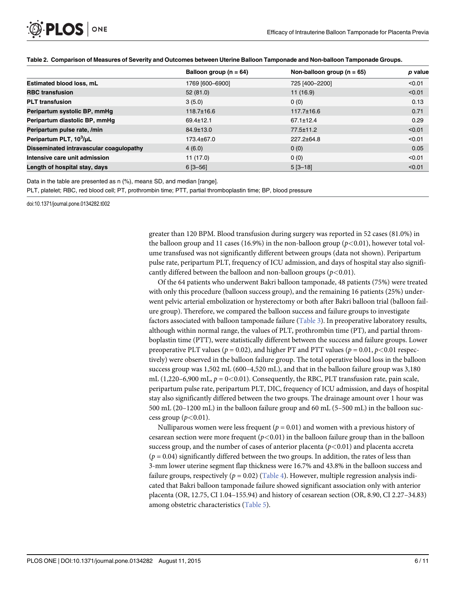<span id="page-5-0"></span>

|                                         | Balloon group ( $n = 64$ ) | Non-balloon group ( $n = 65$ ) | p value |
|-----------------------------------------|----------------------------|--------------------------------|---------|
| Estimated blood loss, mL                | 1769 [600-6900]            | 725 [400-2200]                 | < 0.01  |
| <b>RBC transfusion</b>                  | 52(81.0)                   | 11(16.9)                       | < 0.01  |
| <b>PLT</b> transfusion                  | 3(5.0)                     | 0(0)                           | 0.13    |
| Peripartum systolic BP, mmHg            | $118.7 \pm 16.6$           | $117.7 \pm 16.6$               | 0.71    |
| Peripartum diastolic BP, mmHq           | $69.4 \pm 12.1$            | $67.1 \pm 12.4$                | 0.29    |
| Peripartum pulse rate, /min             | 84.9±13.0                  | 77.5±11.2                      | < 0.01  |
| Peripartum PLT, 10 <sup>3</sup> /µL     | 173.4±67.0                 | $227.2 + 64.8$                 | < 0.01  |
| Disseminated intravascular coagulopathy | 4(6.0)                     | 0(0)                           | 0.05    |
| Intensive care unit admission           | 11(17.0)                   | 0(0)                           | < 0.01  |
| Length of hospital stay, days           | $6$ [3-56]                 | $5[3-18]$                      | < 0.01  |

Data in the table are presented as n (%), mean± SD, and median [range].

PLT, platelet; RBC, red blood cell; PT, prothrombin time; PTT, partial thromboplastin time; BP, blood pressure

doi:10.1371/journal.pone.0134282.t002

greater than 120 BPM. Blood transfusion during surgery was reported in 52 cases (81.0%) in the balloon group and 11 cases (16.9%) in the non-balloon group ( $p<0.01$ ), however total volume transfused was not significantly different between groups (data not shown). Peripartum pulse rate, peripartum PLT, frequency of ICU admission, and days of hospital stay also significantly differed between the balloon and non-balloon groups ( $p < 0.01$ ).

Of the 64 patients who underwent Bakri balloon tamponade, 48 patients (75%) were treated with only this procedure (balloon success group), and the remaining 16 patients (25%) underwent pelvic arterial embolization or hysterectomy or both after Bakri balloon trial (balloon failure group). Therefore, we compared the balloon success and failure groups to investigate factors associated with balloon tamponade failure ([Table 3\)](#page-6-0). In preoperative laboratory results, although within normal range, the values of PLT, prothrombin time (PT), and partial thromboplastin time (PTT), were statistically different between the success and failure groups. Lower preoperative PLT values ( $p = 0.02$ ), and higher PT and PTT values ( $p = 0.01$ ,  $p < 0.01$  respectively) were observed in the balloon failure group. The total operative blood loss in the balloon success group was 1,502 mL (600–4,520 mL), and that in the balloon failure group was 3,180 mL (1,220–6,900 mL,  $p = 0 \lt 0.01$ ). Consequently, the RBC, PLT transfusion rate, pain scale, peripartum pulse rate, peripartum PLT, DIC, frequency of ICU admission, and days of hospital stay also significantly differed between the two groups. The drainage amount over 1 hour was 500 mL (20–1200 mL) in the balloon failure group and 60 mL (5–500 mL) in the balloon success group  $(p<0.01)$ .

Nulliparous women were less frequent ( $p = 0.01$ ) and women with a previous history of cesarean section were more frequent  $(p<0.01)$  in the balloon failure group than in the balloon success group, and the number of cases of anterior placenta ( $p$ <0.01) and placenta accreta  $(p = 0.04)$  significantly differed between the two groups. In addition, the rates of less than 3-mm lower uterine segment flap thickness were 16.7% and 43.8% in the balloon success and failure groups, respectively ( $p = 0.02$ ) [\(Table 4](#page-7-0)). However, multiple regression analysis indicated that Bakri balloon tamponade failure showed significant association only with anterior placenta (OR, 12.75, CI 1.04–155.94) and history of cesarean section (OR, 8.90, CI 2.27–34.83) among obstetric characteristics [\(Table 5\)](#page-7-0).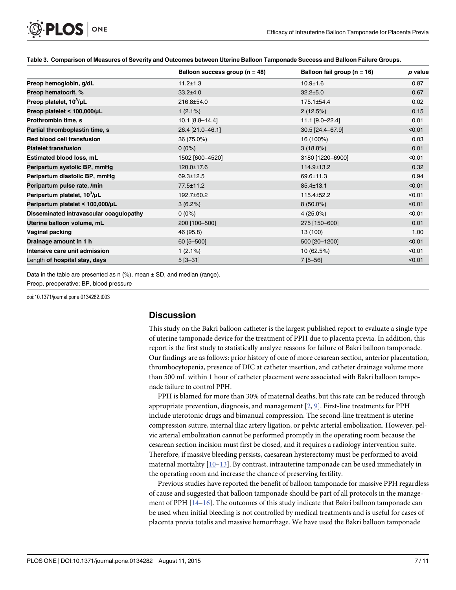|                                          | Balloon success group ( $n = 48$ ) | Balloon fail group ( $n = 16$ ) | p value |
|------------------------------------------|------------------------------------|---------------------------------|---------|
| Preop hemoglobin, g/dL                   | $11.2 \pm 1.3$                     | $10.9 \pm 1.6$                  | 0.87    |
| Preop hematocrit, %                      | $33.2 \pm 4.0$                     | $32.2 \pm 5.0$                  | 0.67    |
| Preop platelet, 10 <sup>3</sup> /µL      | 216.8±54.0                         | 175.1±54.4                      | 0.02    |
| Preop platelet < 100,000/µL              | $1(2.1\%)$                         | 2(12.5%)                        | 0.15    |
| Prothrombin time, s                      | 10.1 [8.8-14.4]                    | 11.1 [9.0-22.4]                 | 0.01    |
| Partial thromboplastin time, s           | 26.4 [21.0-46.1]                   | 30.5 [24.4-67.9]                | < 0.01  |
| Red blood cell transfusion               | 36 (75.0%)                         | 16 (100%)                       | 0.03    |
| <b>Platelet transfusion</b>              | $0(0\%)$                           | 3(18.8%)                        | 0.01    |
| Estimated blood loss, mL                 | 1502 [600-4520]                    | 3180 [1220-6900]                | < 0.01  |
| Peripartum systolic BP, mmHg             | 120.0±17.6                         | 114.9±13.2                      | 0.32    |
| Peripartum diastolic BP, mmHg            | 69.3±12.5                          | 69.6±11.3                       | 0.94    |
| Peripartum pulse rate, /min              | 77.5±11.2                          | 85.4±13.1                       | < 0.01  |
| Peripartum platelet, 10 <sup>3</sup> /µL | 192.7±60.2                         | 115.4±52.2                      | < 0.01  |
| Peripartum platelet < 100,000/µL         | $3(6.2\%)$                         | $8(50.0\%)$                     | < 0.01  |
| Disseminated intravascular coagulopathy  | $0(0\%)$                           | $4(25.0\%)$                     | < 0.01  |
| Uterine balloon volume, mL               | 200 [100-500]                      | 275 [150-600]                   | 0.01    |
| Vaginal packing                          | 46 (95.8)                          | 13 (100)                        | 1.00    |
| Drainage amount in 1 h                   | $60$ [5-500]                       | 500 [20-1200]                   | < 0.01  |
| Intensive care unit admission            | $1(2.1\%)$                         | 10(62.5%)                       | < 0.01  |
| Length of hospital stay, days            | $5[3 - 31]$                        | $7[5 - 56]$                     | < 0.01  |

#### [Table 3.](#page-5-0) Comparison of Measures of Severity and Outcomes between Uterine Balloon Tamponade Success and Balloon Failure Groups.

Data in the table are presented as n (%), mean ± SD, and median (range).

Preop, preoperative; BP, blood pressure

<span id="page-6-0"></span>PLOS ONE

doi:10.1371/journal.pone.0134282.t003

# **Discussion**

This study on the Bakri balloon catheter is the largest published report to evaluate a single type of uterine tamponade device for the treatment of PPH due to placenta previa. In addition, this report is the first study to statistically analyze reasons for failure of Bakri balloon tamponade. Our findings are as follows: prior history of one of more cesarean section, anterior placentation, thrombocytopenia, presence of DIC at catheter insertion, and catheter drainage volume more than 500 mL within 1 hour of catheter placement were associated with Bakri balloon tamponade failure to control PPH.

PPH is blamed for more than 30% of maternal deaths, but this rate can be reduced through appropriate prevention, diagnosis, and management  $[2, 9]$  $[2, 9]$  $[2, 9]$  $[2, 9]$ . First-line treatments for PPH include uterotonic drugs and bimanual compression. The second-line treatment is uterine compression suture, internal iliac artery ligation, or pelvic arterial embolization. However, pelvic arterial embolization cannot be performed promptly in the operating room because the cesarean section incision must first be closed, and it requires a radiology intervention suite. Therefore, if massive bleeding persists, caesarean hysterectomy must be performed to avoid maternal mortality [\[10](#page-10-0)–[13\]](#page-10-0). By contrast, intrauterine tamponade can be used immediately in the operating room and increase the chance of preserving fertility.

Previous studies have reported the benefit of balloon tamponade for massive PPH regardless of cause and suggested that balloon tamponade should be part of all protocols in the management of PPH  $[14-16]$  $[14-16]$  $[14-16]$  $[14-16]$ . The outcomes of this study indicate that Bakri balloon tamponade can be used when initial bleeding is not controlled by medical treatments and is useful for cases of placenta previa totalis and massive hemorrhage. We have used the Bakri balloon tamponade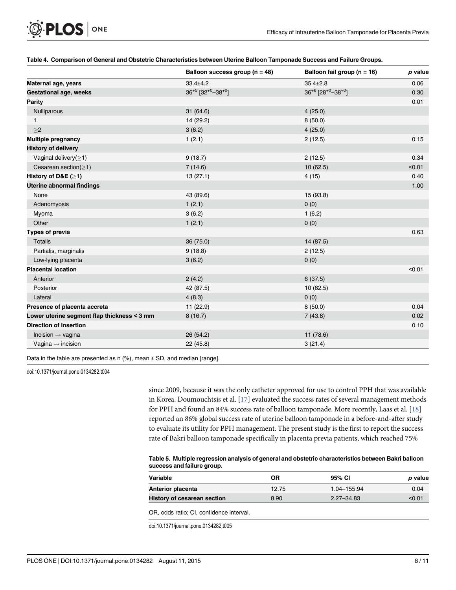<span id="page-7-0"></span>

|  |  | Table 4. Comparison of General and Obstetric Characteristics between Uterine Balloon Tamponade Success and Failure Groups. |  |
|--|--|----------------------------------------------------------------------------------------------------------------------------|--|
|  |  |                                                                                                                            |  |

|                                             | Balloon success group ( $n = 48$ )              | Balloon fail group ( $n = 16$ )                 | p value |
|---------------------------------------------|-------------------------------------------------|-------------------------------------------------|---------|
| Maternal age, years                         | $33.4 \pm 4.2$                                  | $35.4 \pm 2.8$                                  | 0.06    |
| <b>Gestational age, weeks</b>               | $36^{+5}$ [32 <sup>+0</sup> -38 <sup>+0</sup> ] | $36^{+6}$ [28 <sup>+0</sup> -38 <sup>+0</sup> ] | 0.30    |
| <b>Parity</b>                               |                                                 |                                                 | 0.01    |
| Nulliparous                                 | 31(64.6)                                        | 4(25.0)                                         |         |
| $\mathbf{1}$                                | 14 (29.2)                                       | 8(50.0)                                         |         |
| $\geq$                                      | 3(6.2)                                          | 4(25.0)                                         |         |
| <b>Multiple pregnancy</b>                   | 1(2.1)                                          | 2(12.5)                                         | 0.15    |
| <b>History of delivery</b>                  |                                                 |                                                 |         |
| Vaginal delivery $(\geq 1)$                 | 9(18.7)                                         | 2(12.5)                                         | 0.34    |
| Cesarean section( $\geq$ 1)                 | 7(14.6)                                         | 10(62.5)                                        | < 0.01  |
| History of D&E $(≥1)$                       | 13(27.1)                                        | 4(15)                                           | 0.40    |
| <b>Uterine abnormal findings</b>            |                                                 |                                                 | 1.00    |
| None                                        | 43 (89.6)                                       | 15 (93.8)                                       |         |
| Adenomyosis                                 | 1(2.1)                                          | 0(0)                                            |         |
| Myoma                                       | 3(6.2)                                          | 1(6.2)                                          |         |
| Other                                       | 1(2.1)                                          | 0(0)                                            |         |
| <b>Types of previa</b>                      |                                                 |                                                 | 0.63    |
| <b>Totalis</b>                              | 36 (75.0)                                       | 14 (87.5)                                       |         |
| Partialis, marginalis                       | 9(18.8)                                         | 2(12.5)                                         |         |
| Low-lying placenta                          | 3(6.2)                                          | 0(0)                                            |         |
| <b>Placental location</b>                   |                                                 |                                                 | < 0.01  |
| Anterior                                    | 2(4.2)                                          | 6(37.5)                                         |         |
| Posterior                                   | 42 (87.5)                                       | 10(62.5)                                        |         |
| Lateral                                     | 4(8.3)                                          | 0(0)                                            |         |
| Presence of placenta accreta                | 11(22.9)                                        | 8(50.0)                                         | 0.04    |
| Lower uterine segment flap thickness < 3 mm | 8(16.7)                                         | 7(43.8)                                         | 0.02    |
| <b>Direction of insertion</b>               |                                                 |                                                 | 0.10    |
| Incision $\rightarrow$ vagina               | 26(54.2)                                        | 11 (78.6)                                       |         |
| Vagina $\rightarrow$ incision               | 22(45.8)                                        | 3(21.4)                                         |         |

Data in the table are presented as n (%), mean ± SD, and median [range].

doi:10.1371/journal.pone.0134282.t004

since 2009, because it was the only catheter approved for use to control PPH that was available in Korea. Doumouchtsis et al. [\[17\]](#page-10-0) evaluated the success rates of several management methods for PPH and found an 84% success rate of balloon tamponade. More recently, Laas et al. [\[18\]](#page-10-0) reported an 86% global success rate of uterine balloon tamponade in a before-and-after study to evaluate its utility for PPH management. The present study is the first to report the success rate of Bakri balloon tamponade specifically in placenta previa patients, which reached 75%

#### [Table 5.](#page-5-0) Multiple regression analysis of general and obstetric characteristics between Bakri balloon success and failure group.

| Variable                    | ΟR    | 95% CI         | p value |
|-----------------------------|-------|----------------|---------|
| Anterior placenta           | 12.75 | 1.04-155.94    | 0.04    |
| History of cesarean section | 8.90  | $2.27 - 34.83$ | < 0.01  |

OR, odds ratio; CI, confidence interval.

doi:10.1371/journal.pone.0134282.t005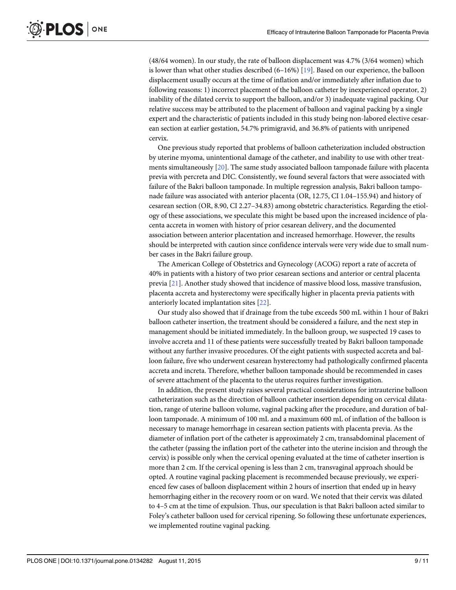<span id="page-8-0"></span>(48/64 women). In our study, the rate of balloon displacement was 4.7% (3/64 women) which is lower than what other studies described  $(6-16%)$  [\[19](#page-10-0)]. Based on our experience, the balloon displacement usually occurs at the time of inflation and/or immediately after inflation due to following reasons: 1) incorrect placement of the balloon catheter by inexperienced operator, 2) inability of the dilated cervix to support the balloon, and/or 3) inadequate vaginal packing. Our relative success may be attributed to the placement of balloon and vaginal packing by a single expert and the characteristic of patients included in this study being non-labored elective cesarean section at earlier gestation, 54.7% primigravid, and 36.8% of patients with unripened cervix.

One previous study reported that problems of balloon catheterization included obstruction by uterine myoma, unintentional damage of the catheter, and inability to use with other treatments simultaneously [\[20\]](#page-10-0). The same study associated balloon tamponade failure with placenta previa with percreta and DIC. Consistently, we found several factors that were associated with failure of the Bakri balloon tamponade. In multiple regression analysis, Bakri balloon tamponade failure was associated with anterior placenta (OR, 12.75, CI 1.04–155.94) and history of cesarean section (OR, 8.90, CI 2.27–34.83) among obstetric characteristics. Regarding the etiology of these associations, we speculate this might be based upon the increased incidence of placenta accreta in women with history of prior cesarean delivery, and the documented association between anterior placentation and increased hemorrhage. However, the results should be interpreted with caution since confidence intervals were very wide due to small number cases in the Bakri failure group.

The American College of Obstetrics and Gynecology (ACOG) report a rate of accreta of 40% in patients with a history of two prior cesarean sections and anterior or central placenta previa [\[21\]](#page-10-0). Another study showed that incidence of massive blood loss, massive transfusion, placenta accreta and hysterectomy were specifically higher in placenta previa patients with anteriorly located implantation sites [\[22](#page-10-0)].

Our study also showed that if drainage from the tube exceeds 500 mL within 1 hour of Bakri balloon catheter insertion, the treatment should be considered a failure, and the next step in management should be initiated immediately. In the balloon group, we suspected 19 cases to involve accreta and 11 of these patients were successfully treated by Bakri balloon tamponade without any further invasive procedures. Of the eight patients with suspected accreta and balloon failure, five who underwent cesarean hysterectomy had pathologically confirmed placenta accreta and increta. Therefore, whether balloon tamponade should be recommended in cases of severe attachment of the placenta to the uterus requires further investigation.

In addition, the present study raises several practical considerations for intrauterine balloon catheterization such as the direction of balloon catheter insertion depending on cervical dilatation, range of uterine balloon volume, vaginal packing after the procedure, and duration of balloon tamponade. A minimum of 100 mL and a maximum 600 mL of inflation of the balloon is necessary to manage hemorrhage in cesarean section patients with placenta previa. As the diameter of inflation port of the catheter is approximately 2 cm, transabdominal placement of the catheter (passing the inflation port of the catheter into the uterine incision and through the cervix) is possible only when the cervical opening evaluated at the time of catheter insertion is more than 2 cm. If the cervical opening is less than 2 cm, transvaginal approach should be opted. A routine vaginal packing placement is recommended because previously, we experienced few cases of balloon displacement within 2 hours of insertion that ended up in heavy hemorrhaging either in the recovery room or on ward. We noted that their cervix was dilated to 4–5 cm at the time of expulsion. Thus, our speculation is that Bakri balloon acted similar to Foley's catheter balloon used for cervical ripening. So following these unfortunate experiences, we implemented routine vaginal packing.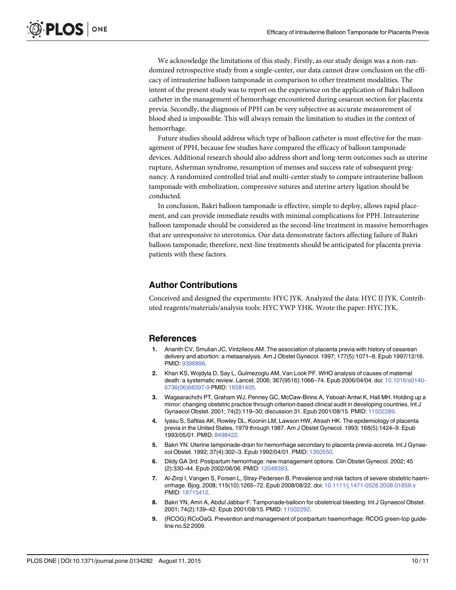<span id="page-9-0"></span>We acknowledge the limitations of this study. Firstly, as our study design was a non-randomized retrospective study from a single-center, our data cannot draw conclusion on the efficacy of intrauterine balloon tamponade in comparison to other treatment modalities. The intent of the present study was to report on the experience on the application of Bakri balloon catheter in the management of hemorrhage encountered during cesarean section for placenta previa. Secondly, the diagnosis of PPH can be very subjective as accurate measurement of blood shed is impossible. This will always remain the limitation to studies in the context of hemorrhage.

Future studies should address which type of balloon catheter is most effective for the management of PPH, because few studies have compared the efficacy of balloon tamponade devices. Additional research should also address short and long-term outcomes such as uterine rupture, Asherman syndrome, resumption of menses and success rate of subsequent pregnancy. A randomized controlled trial and multi-center study to compare intrauterine balloon tamponade with embolization, compressive sutures and uterine artery ligation should be conducted.

In conclusion, Bakri balloon tamponade is effective, simple to deploy, allows rapid placement, and can provide immediate results with minimal complications for PPH. Intrauterine balloon tamponade should be considered as the second-line treatment in massive hemorrhages that are unresponsive to uterotonics. Our data demonstrate factors affecting failure of Bakri balloon tamponade; therefore, next-line treatments should be anticipated for placenta previa patients with these factors.

# Author Contributions

Conceived and designed the experiments: HYC JYK. Analyzed the data: HYC IJ JYK. Contributed reagents/materials/analysis tools: HYC YWP YHK. Wrote the paper: HYC JYK.

# References

- [1.](#page-1-0) Ananth CV, Smulian JC, Vintzileos AM. The association of placenta previa with history of cesarean delivery and abortion: a metaanalysis. Am J Obstet Gynecol. 1997; 177(5):1071–8. Epub 1997/12/16. PMID: [9396896.](http://www.ncbi.nlm.nih.gov/pubmed/9396896)
- [2.](#page-1-0) Khan KS, Wojdyla D, Say L, Gulmezoglu AM, Van Look PF. WHO analysis of causes of maternal death: a systematic review. Lancet. 2006; 367(9516):1066–74. Epub 2006/04/04. doi: [10.1016/s0140-](http://dx.doi.org/10.1016/s0140-6736(06)68397-9) [6736\(06\)68397-9](http://dx.doi.org/10.1016/s0140-6736(06)68397-9) PMID: [16581405](http://www.ncbi.nlm.nih.gov/pubmed/16581405).
- [3.](#page-1-0) Wagaarachchi PT, Graham WJ, Penney GC, McCaw-Binns A, Yeboah Antwi K, Hall MH. Holding up a mirror: changing obstetric practice through criterion-based clinical audit in developing countries. Int J Gynaecol Obstet. 2001; 74(2):119–30; discussion 31. Epub 2001/08/15. PMID: [11502289](http://www.ncbi.nlm.nih.gov/pubmed/11502289).
- [4.](#page-1-0) Iyasu S, Saftlas AK, Rowley DL, Koonin LM, Lawson HW, Atrash HK. The epidemiology of placenta previa in the United States, 1979 through 1987. Am J Obstet Gynecol. 1993; 168(5):1424–9. Epub 1993/05/01. PMID: [8498422.](http://www.ncbi.nlm.nih.gov/pubmed/8498422)
- [5.](#page-1-0) Bakri YN. Uterine tamponade-drain for hemorrhage secondary to placenta previa-accreta. Int J Gynaecol Obstet. 1992; 37(4):302–3. Epub 1992/04/01. PMID: [1350550](http://www.ncbi.nlm.nih.gov/pubmed/1350550).
- [6.](#page-1-0) Dildy GA 3rd. Postpartum hemorrhage: new management options. Clin Obstet Gynecol. 2002; 45 (2):330–44. Epub 2002/06/06. PMID: [12048393.](http://www.ncbi.nlm.nih.gov/pubmed/12048393)
- [7.](#page-1-0) Al-Zirqi I, Vangen S, Forsen L, Stray-Pedersen B. Prevalence and risk factors of severe obstetric haemorrhage. Bjog. 2008; 115(10):1265–72. Epub 2008/08/22. doi: [10.1111/j.1471-0528.2008.01859.x](http://dx.doi.org/10.1111/j.1471-0528.2008.01859.x) PMID: [18715412.](http://www.ncbi.nlm.nih.gov/pubmed/18715412)
- [8.](#page-2-0) Bakri YN, Amri A, Abdul Jabbar F. Tamponade-balloon for obstetrical bleeding. Int J Gynaecol Obstet. 2001; 74(2):139–42. Epub 2001/08/15. PMID: [11502292](http://www.ncbi.nlm.nih.gov/pubmed/11502292).
- [9.](#page-6-0) (RCOG) RCoOaG. Prevention and management of postpartum haemorrhage: RCOG green-top guideline no.52 2009.